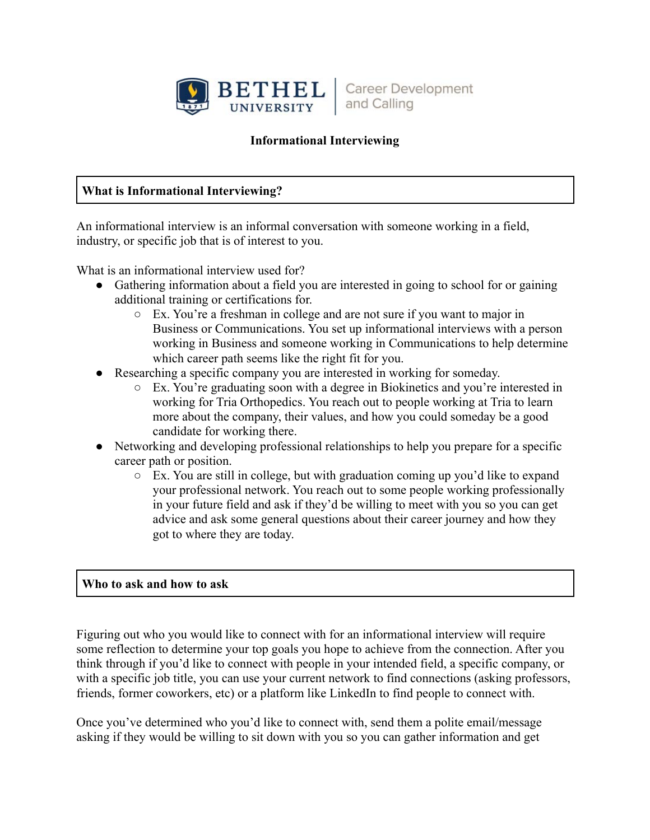

**Career Development** and Calling

## **Informational Interviewing**

## **What is Informational Interviewing?**

An informational interview is an informal conversation with someone working in a field, industry, or specific job that is of interest to you.

What is an informational interview used for?

- Gathering information about a field you are interested in going to school for or gaining additional training or certifications for.
	- Ex. You're a freshman in college and are not sure if you want to major in Business or Communications. You set up informational interviews with a person working in Business and someone working in Communications to help determine which career path seems like the right fit for you.
- Researching a specific company you are interested in working for someday.
	- Ex. You're graduating soon with a degree in Biokinetics and you're interested in working for Tria Orthopedics. You reach out to people working at Tria to learn more about the company, their values, and how you could someday be a good candidate for working there.
- Networking and developing professional relationships to help you prepare for a specific career path or position.
	- $\circ$  Ex. You are still in college, but with graduation coming up you'd like to expand your professional network. You reach out to some people working professionally in your future field and ask if they'd be willing to meet with you so you can get advice and ask some general questions about their career journey and how they got to where they are today.

## **Who to ask and how to ask**

Figuring out who you would like to connect with for an informational interview will require some reflection to determine your top goals you hope to achieve from the connection. After you think through if you'd like to connect with people in your intended field, a specific company, or with a specific job title, you can use your current network to find connections (asking professors, friends, former coworkers, etc) or a platform like LinkedIn to find people to connect with.

Once you've determined who you'd like to connect with, send them a polite email/message asking if they would be willing to sit down with you so you can gather information and get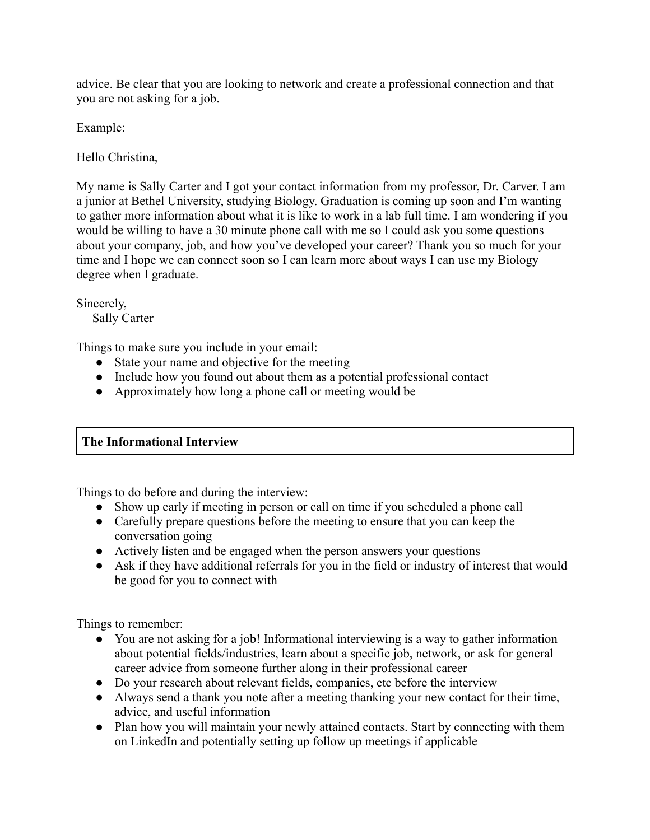advice. Be clear that you are looking to network and create a professional connection and that you are not asking for a job.

Example:

Hello Christina,

My name is Sally Carter and I got your contact information from my professor, Dr. Carver. I am a junior at Bethel University, studying Biology. Graduation is coming up soon and I'm wanting to gather more information about what it is like to work in a lab full time. I am wondering if you would be willing to have a 30 minute phone call with me so I could ask you some questions about your company, job, and how you've developed your career? Thank you so much for your time and I hope we can connect soon so I can learn more about ways I can use my Biology degree when I graduate.

Sincerely, Sally Carter

Things to make sure you include in your email:

- State your name and objective for the meeting
- Include how you found out about them as a potential professional contact
- Approximately how long a phone call or meeting would be

# **The Informational Interview**

Things to do before and during the interview:

- Show up early if meeting in person or call on time if you scheduled a phone call
- Carefully prepare questions before the meeting to ensure that you can keep the conversation going
- Actively listen and be engaged when the person answers your questions
- Ask if they have additional referrals for you in the field or industry of interest that would be good for you to connect with

Things to remember:

- You are not asking for a job! Informational interviewing is a way to gather information about potential fields/industries, learn about a specific job, network, or ask for general career advice from someone further along in their professional career
- Do your research about relevant fields, companies, etc before the interview
- Always send a thank you note after a meeting thanking your new contact for their time, advice, and useful information
- Plan how you will maintain your newly attained contacts. Start by connecting with them on LinkedIn and potentially setting up follow up meetings if applicable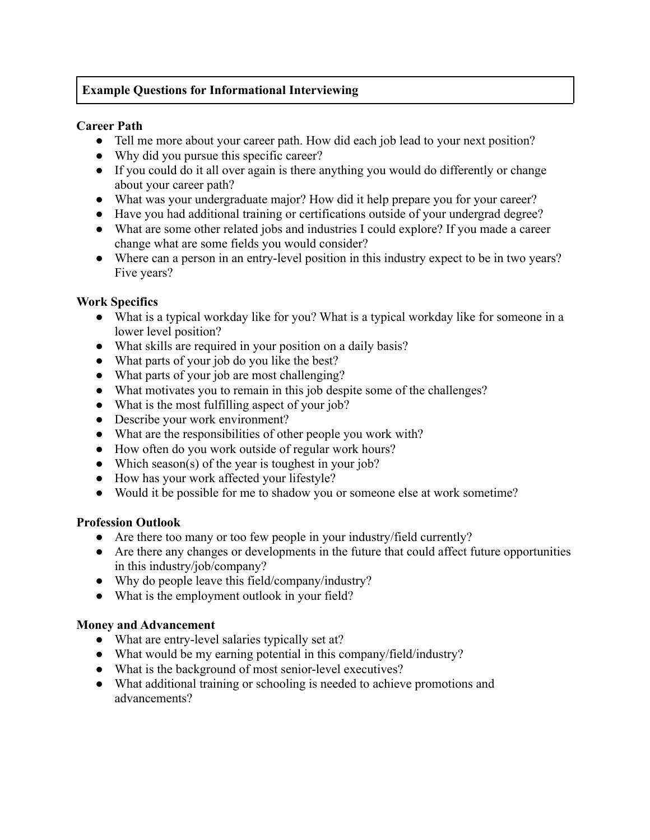# **Example Questions for Informational Interviewing**

#### **Career Path**

- Tell me more about your career path. How did each job lead to your next position?
- Why did you pursue this specific career?
- If you could do it all over again is there anything you would do differently or change about your career path?
- What was your undergraduate major? How did it help prepare you for your career?
- Have you had additional training or certifications outside of your undergrad degree?
- What are some other related jobs and industries I could explore? If you made a career change what are some fields you would consider?
- Where can a person in an entry-level position in this industry expect to be in two years? Five years?

#### **Work Specifics**

- What is a typical workday like for you? What is a typical workday like for someone in a lower level position?
- What skills are required in your position on a daily basis?
- What parts of your job do you like the best?
- What parts of your job are most challenging?
- What motivates you to remain in this job despite some of the challenges?
- What is the most fulfilling aspect of your job?
- Describe your work environment?
- What are the responsibilities of other people you work with?
- How often do you work outside of regular work hours?
- Which season(s) of the year is toughest in your job?
- How has your work affected your lifestyle?
- Would it be possible for me to shadow you or someone else at work sometime?

## **Profession Outlook**

- Are there too many or too few people in your industry/field currently?
- Are there any changes or developments in the future that could affect future opportunities in this industry/job/company?
- Why do people leave this field/company/industry?
- What is the employment outlook in your field?

## **Money and Advancement**

- What are entry-level salaries typically set at?
- What would be my earning potential in this company/field/industry?
- What is the background of most senior-level executives?
- What additional training or schooling is needed to achieve promotions and advancements?